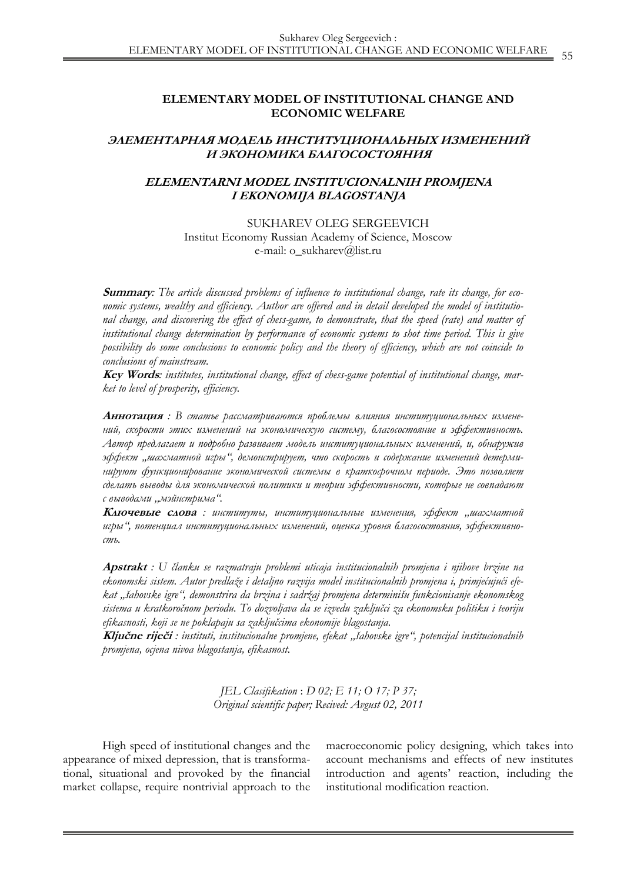## **ELEMENTARY MODEL OF INSTITUTIONAL CHANGE AND ECONOMIC WELFARE**

# **ЭЛЕМЕНТАРНАЯ МОДЕЛЬ ИНСТИТУЦИОНАЛЬНЫХ ИЗМЕНЕНИЙ И ЭКОНОМИКА БЛАГОСОСТОЯНИЯ**

# **ELEMENTARNI MODEL INSTITUCIONALNIH PROMJENA I EKONOMIJA BLAGOSTANJA**

### SUKHAREV OLEG SERGEEVICH Institut Economy Russian Academy of Science, Moscow e-mail: o\_sukharev@list.ru

**Summary***: The article discussed problems of influence to institutional change, rate its change, for economic systems, wealthy and efficiency. Author are offered and in detail developed the model of institutional change, and discovering the effect of chess-game, to demonstrate, that the speed (rate) and matter of institutional change determination by performance of economic systems to shot time period. This is give possibility do some conclusions to economic policy and the theory of efficiency, which are not coincide to conclusions of mainstream.* 

**Key Words***: institutes, institutional change, effect of chess-game potential of institutional change, market to level of prosperity, efficiency.* 

**Аннотация** *: В статье рассматриваются проблемы влияния институциональных изменений, скорости этих изменений на экономическую систему, благосостояние и эффективность. Автор предлагает и подробно развивает модель институциональных изменений, и, обнаружив эффект "шахматной игры", демонстрирует, что скорость и содержание изменений детерминируют функционирование экономической системы в краткосрочном периоде. Это позволяет сделать выводы для экономической политики и теории эффективности, которые не совпадают с выводами "мэйнстрима".* 

**Ключевые слова** *: институты, институциональные изменения, эффект "шахматной игры", потенциал институциональных изменений, оценка уровня благосостояния, эффективность.* 

**Apstrakt** *: U članku se razmatraju problemi uticaja institucionalnih promjena i njihove brzine na ekonomski sistem. Autor predlaže i detaljno razvija model institucionalnih promjena i, primjećujući efekat "šahovske igre", demonstrira da brzina i sadržaj promjena determinišu funkcionisanje ekonomskog sistema u kratkoročnom periodu. To dozvoljava da se izvedu zaključci za ekonomsku politiku i teoriju efikasnosti, koji se ne poklapaju sa zaključcima ekonomije blagostanja.* 

**Ključne riječi** : instituti, institucionalne promjene, efekat "šahovske igre", potencijal institucionalnih *promjena, ocjena nivoa blagostanja, efikasnost.*

> *JEL Clasifikation* : *D 02; E 11; O 17; P 37; Original scientific paper; Recived: Avgust 02, 2011*

High speed of institutional changes and the appearance of mixed depression, that is transformational, situational and provoked by the financial market collapse, require nontrivial approach to the macroeconomic policy designing, which takes into account mechanisms and effects of new institutes introduction and agents' reaction, including the institutional modification reaction.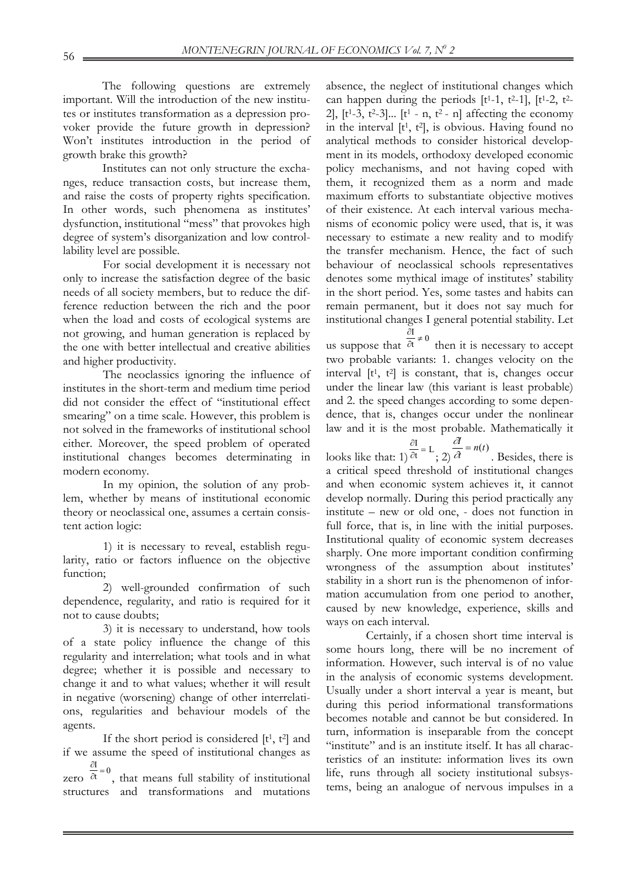The following questions are extremely important. Will the introduction of the new institutes or institutes transformation as a depression provoker provide the future growth in depression? Won't institutes introduction in the period of growth brake this growth?

Institutes can not only structure the exchanges, reduce transaction costs, but increase them, and raise the costs of property rights specification. In other words, such phenomena as institutes' dysfunction, institutional "mess" that provokes high degree of system's disorganization and low controllability level are possible.

For social development it is necessary not only to increase the satisfaction degree of the basic needs of all society members, but to reduce the difference reduction between the rich and the poor when the load and costs of ecological systems are not growing, and human generation is replaced by the one with better intellectual and creative abilities and higher productivity.

The neoclassics ignoring the influence of institutes in the short-term and medium time period did not consider the effect of "institutional effect smearing" on a time scale. However, this problem is not solved in the frameworks of institutional school either. Moreover, the speed problem of operated institutional changes becomes determinating in modern economy.

In my opinion, the solution of any problem, whether by means of institutional economic theory or neoclassical one, assumes a certain consistent action logic:

1) it is necessary to reveal, establish regularity, ratio or factors influence on the objective function;

2) well-grounded confirmation of such dependence, regularity, and ratio is required for it not to cause doubts;

3) it is necessary to understand, how tools of a state policy influence the change of this regularity and interrelation; what tools and in what degree; whether it is possible and necessary to change it and to what values; whether it will result in negative (worsening) change of other interrelations, regularities and behaviour models of the agents.

If the short period is considered  $[t^1, t^2]$  and if we assume the speed of institutional changes as ∂ I

zero ∂  $\frac{1}{t}$  = 0, that means full stability of institutional structures and transformations and mutations

absence, the neglect of institutional changes which can happen during the periods  $[t<sup>1</sup>-1, t<sup>2</sup>-1]$ ,  $[t<sup>1</sup>-2, t<sup>2</sup>-1]$ 2],  $[t^1-3, t^2-3]... [t^1 - n, t^2 - n]$  affecting the economy in the interval  $[t^1, t^2]$ , is obvious. Having found no analytical methods to consider historical development in its models, orthodoxy developed economic policy mechanisms, and not having coped with them, it recognized them as a norm and made maximum efforts to substantiate objective motives of their existence. At each interval various mechanisms of economic policy were used, that is, it was necessary to estimate a new reality and to modify the transfer mechanism. Hence, the fact of such behaviour of neoclassical schools representatives denotes some mythical image of institutes' stability in the short period. Yes, some tastes and habits can remain permanent, but it does not say much for institutional changes I general potential stability. Let

us suppose that ∂ ∂  $\frac{I}{t} \neq 0$  then it is necessary to accept two probable variants: 1. changes velocity on the interval  $[t^1, t^2]$  is constant, that is, changes occur under the linear law (this variant is least probable) and 2. the speed changes according to some dependence, that is, changes occur under the nonlinear law and it is the most probable. Mathematically it

looks like that: 1) ∂ ∂  $\frac{I}{t} = L$ ,  $\frac{\partial I}{\partial t} = n(t)$ . Besides, there is a critical speed threshold of institutional changes and when economic system achieves it, it cannot develop normally. During this period practically any institute – new or old one, - does not function in full force, that is, in line with the initial purposes. Institutional quality of economic system decreases sharply. One more important condition confirming wrongness of the assumption about institutes' stability in a short run is the phenomenon of information accumulation from one period to another, caused by new knowledge, experience, skills and ways on each interval.

Certainly, if a chosen short time interval is some hours long, there will be no increment of information. However, such interval is of no value in the analysis of economic systems development. Usually under a short interval a year is meant, but during this period informational transformations becomes notable and cannot be but considered. In turn, information is inseparable from the concept "institute" and is an institute itself. It has all characteristics of an institute: information lives its own life, runs through all society institutional subsystems, being an analogue of nervous impulses in a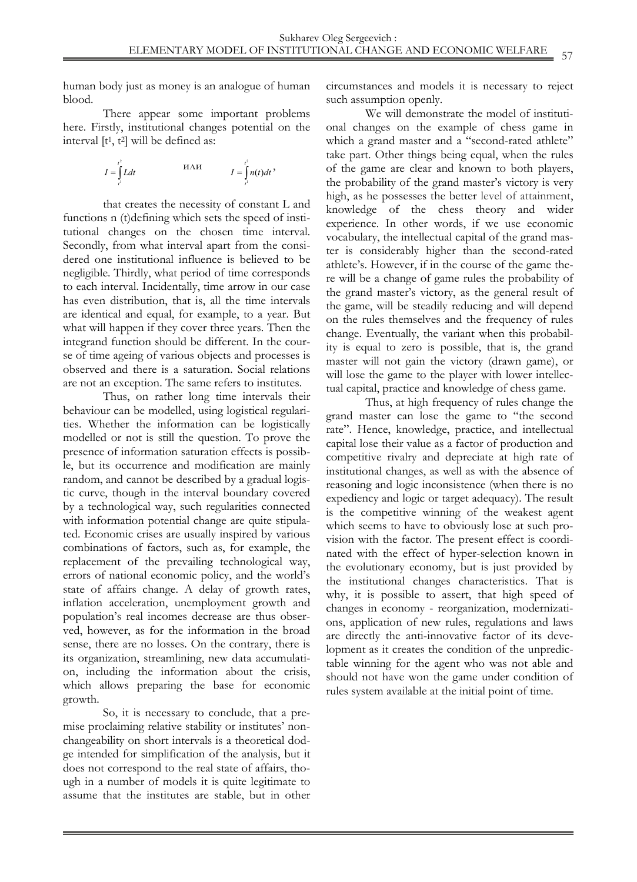human body just as money is an analogue of human blood.

There appear some important problems here. Firstly, institutional changes potential on the interval  $[t^1, t^2]$  will be defined as:

$$
I = \int_{t'}^{t^2} L dt
$$
 IAM 
$$
I = \int_{t'}^{t^2} n(t) dt,
$$

that creates the necessity of constant L and functions n (t)defining which sets the speed of institutional changes on the chosen time interval. Secondly, from what interval apart from the considered one institutional influence is believed to be negligible. Thirdly, what period of time corresponds to each interval. Incidentally, time arrow in our case has even distribution, that is, all the time intervals are identical and equal, for example, to a year. But what will happen if they cover three years. Then the integrand function should be different. In the course of time ageing of various objects and processes is observed and there is a saturation. Social relations are not an exception. The same refers to institutes.

Thus, on rather long time intervals their behaviour can be modelled, using logistical regularities. Whether the information can be logistically modelled or not is still the question. To prove the presence of information saturation effects is possible, but its occurrence and modification are mainly random, and cannot be described by a gradual logistic curve, though in the interval boundary covered by a technological way, such regularities connected with information potential change are quite stipulated. Economic crises are usually inspired by various combinations of factors, such as, for example, the replacement of the prevailing technological way, errors of national economic policy, and the world's state of affairs change. A delay of growth rates, inflation acceleration, unemployment growth and population's real incomes decrease are thus observed, however, as for the information in the broad sense, there are no losses. On the contrary, there is its organization, streamlining, new data accumulation, including the information about the crisis, which allows preparing the base for economic growth.

So, it is necessary to conclude, that a premise proclaiming relative stability or institutes' nonchangeability on short intervals is a theoretical dodge intended for simplification of the analysis, but it does not correspond to the real state of affairs, though in a number of models it is quite legitimate to assume that the institutes are stable, but in other circumstances and models it is necessary to reject such assumption openly.

We will demonstrate the model of institutional changes on the example of chess game in which a grand master and a "second-rated athlete" take part. Other things being equal, when the rules of the game are clear and known to both players, the probability of the grand master's victory is very high, as he possesses the better level of attainment, knowledge of the chess theory and wider experience. In other words, if we use economic vocabulary, the intellectual capital of the grand master is considerably higher than the second-rated athlete's. However, if in the course of the game there will be a change of game rules the probability of the grand master's victory, as the general result of the game, will be steadily reducing and will depend on the rules themselves and the frequency of rules change. Eventually, the variant when this probability is equal to zero is possible, that is, the grand master will not gain the victory (drawn game), or will lose the game to the player with lower intellectual capital, practice and knowledge of chess game.

Thus, at high frequency of rules change the grand master can lose the game to "the second rate". Hence, knowledge, practice, and intellectual capital lose their value as a factor of production and competitive rivalry and depreciate at high rate of institutional changes, as well as with the absence of reasoning and logic inconsistence (when there is no expediency and logic or target adequacy). The result is the competitive winning of the weakest agent which seems to have to obviously lose at such provision with the factor. The present effect is coordinated with the effect of hyper-selection known in the evolutionary economy, but is just provided by the institutional changes characteristics. That is why, it is possible to assert, that high speed of changes in economy - reorganization, modernizations, application of new rules, regulations and laws are directly the anti-innovative factor of its development as it creates the condition of the unpredictable winning for the agent who was not able and should not have won the game under condition of rules system available at the initial point of time.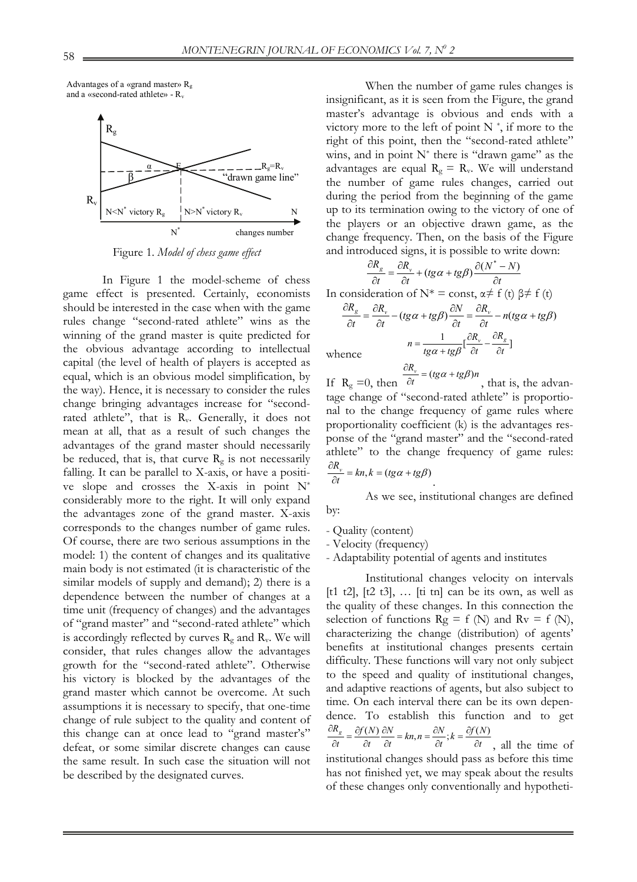Advantages of a «grand master»  $R_g$ and a «second-rated athlete» - Rv



Figure 1. *Model of chess game effect*

In Figure 1 the model-scheme of chess game effect is presented. Certainly, economists should be interested in the case when with the game rules change "second-rated athlete" wins as the winning of the grand master is quite predicted for the obvious advantage according to intellectual capital (the level of health of players is accepted as equal, which is an obvious model simplification, by the way). Hence, it is necessary to consider the rules change bringing advantages increase for "secondrated athlete", that is Rv. Generally, it does not mean at all, that as a result of such changes the advantages of the grand master should necessarily be reduced, that is, that curve  $R_g$  is not necessarily falling. It can be parallel to X-axis, or have a positive slope and crosses the X-axis in point  $N^*$ considerably more to the right. It will only expand the advantages zone of the grand master. X-axis corresponds to the changes number of game rules. Of course, there are two serious assumptions in the model: 1) the content of changes and its qualitative main body is not estimated (it is characteristic of the similar models of supply and demand); 2) there is a dependence between the number of changes at a time unit (frequency of changes) and the advantages of "grand master" and "second-rated athlete" which is accordingly reflected by curves  $R_g$  and  $R_v$ . We will consider, that rules changes allow the advantages growth for the "second-rated athlete". Otherwise his victory is blocked by the advantages of the grand master which cannot be overcome. At such assumptions it is necessary to specify, that one-time change of rule subject to the quality and content of this change can at once lead to "grand master's" defeat, or some similar discrete changes can cause the same result. In such case the situation will not be described by the designated curves.

When the number of game rules changes is insignificant, as it is seen from the Figure, the grand master's advantage is obvious and ends with a victory more to the left of point  $N^*$ , if more to the right of this point, then the "second-rated athlete" wins, and in point  $N^*$  there is "drawn game" as the advantages are equal  $R_g = R_v$ . We will understand the number of game rules changes, carried out during the period from the beginning of the game up to its termination owing to the victory of one of the players or an objective drawn game, as the change frequency. Then, on the basis of the Figure and introduced signs, it is possible to write down:

$$
\frac{\partial R_g}{\partial t} = \frac{\partial R_v}{\partial t} + (tg\alpha + tg\beta) \frac{\partial (N^* - N)}{\partial t}
$$
  
In consideration of N\* = const,  $\alpha \neq f(t)$   $\beta \neq f(t)$   

$$
\frac{\partial R_g}{\partial t} = \frac{\partial R_v}{\partial t} - (tg\alpha + tg\beta) \frac{\partial N}{\partial t} = \frac{\partial R_v}{\partial t} - n(tg\alpha + tg\beta)
$$

$$
n = \frac{1}{tg\alpha + tg\beta} \left[\frac{\partial R_v}{\partial t} - \frac{\partial R_g}{\partial t}\right]
$$
  
whence

If  $R_g = 0$ , then  $\frac{\partial R_v}{\partial t} = (tg\alpha + tg\beta)n$ , that is, the advantage change of "second-rated athlete" is proportional to the change frequency of game rules where proportionality coefficient (k) is the advantages response of the "grand master" and the "second-rated athlete" to the change frequency of game rules:  $\frac{\partial R_{\nu}}{\partial t} = kn, k = (tg\alpha + tg\beta)$ ∂ .

As we see, institutional changes are defined

- Quality (content)

by:

- Velocity (frequency)

- Adaptability potential of agents and institutes

Institutional changes velocity on intervals [t1 t2], [t2 t3], ... [ti tn] can be its own, as well as the quality of these changes. In this connection the selection of functions  $Rg = f(N)$  and  $Rv = f(N)$ , characterizing the change (distribution) of agents' benefits at institutional changes presents certain difficulty. These functions will vary not only subject to the speed and quality of institutional changes, and adaptive reactions of agents, but also subject to time. On each interval there can be its own dependence. To establish this function and to get  $\frac{\partial N}{\partial t} = kn, n = \frac{\partial N}{\partial t}; k = \frac{\partial f(N)}{\partial t}$ *t f N t Rg*  $\frac{\partial N}{\partial t} = kn, n = \frac{\partial N}{\partial t}; k = \frac{\partial f(t)}{\partial t}$  $\frac{\partial R_g}{\partial t} = \frac{\partial f(N)}{\partial t} \frac{\partial N}{\partial t} = kn, n = \frac{\partial N}{\partial t}; k = \frac{\partial f(N)}{\partial t}$ , all the time of

institutional changes should pass as before this time has not finished yet, we may speak about the results of these changes only conventionally and hypotheti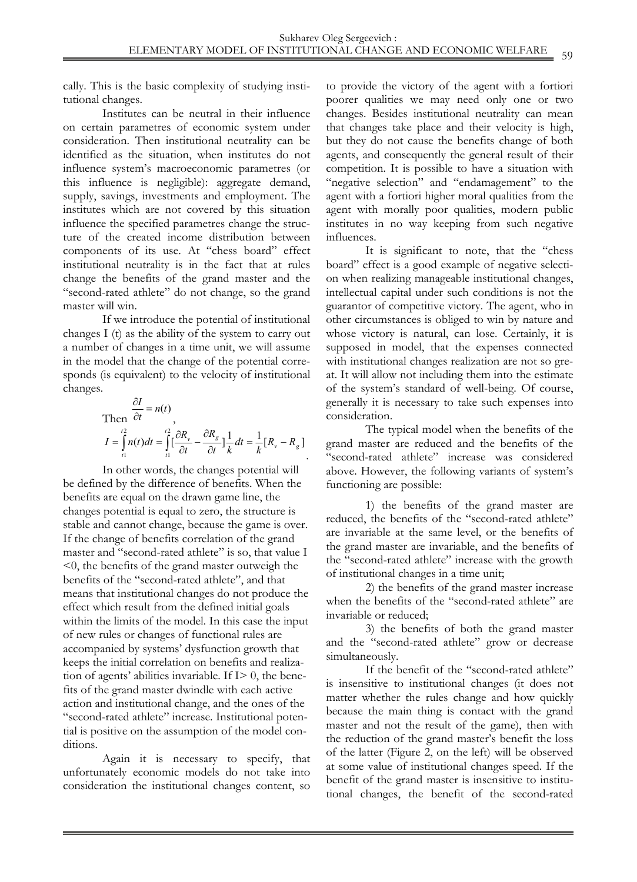cally. This is the basic complexity of studying institutional changes.

Institutes can be neutral in their influence on certain parametres of economic system under consideration. Then institutional neutrality can be identified as the situation, when institutes do not influence system's macroeconomic parametres (or this influence is negligible): aggregate demand, supply, savings, investments and employment. The institutes which are not covered by this situation influence the specified parametres change the structure of the created income distribution between components of its use. At "chess board" effect institutional neutrality is in the fact that at rules change the benefits of the grand master and the "second-rated athlete" do not change, so the grand master will win.

If we introduce the potential of institutional changes I (t) as the ability of the system to carry out a number of changes in a time unit, we will assume in the model that the change of the potential corresponds (is equivalent) to the velocity of institutional changes.

Then 
$$
\frac{\partial I}{\partial t} = n(t),
$$
  
\n
$$
I = \int_{t_1}^{t_2} n(t)dt = \int_{t_1}^{t_2} \left[\frac{\partial R_v}{\partial t} - \frac{\partial R_g}{\partial t}\right] \frac{1}{k}dt = \frac{1}{k}[R_v - R_g].
$$

In other words, the changes potential will be defined by the difference of benefits. When the benefits are equal on the drawn game line, the changes potential is equal to zero, the structure is stable and cannot change, because the game is over. If the change of benefits correlation of the grand master and "second-rated athlete" is so, that value I <0, the benefits of the grand master outweigh the benefits of the "second-rated athlete", and that means that institutional changes do not produce the effect which result from the defined initial goals within the limits of the model. In this case the input of new rules or changes of functional rules are accompanied by systems' dysfunction growth that keeps the initial correlation on benefits and realization of agents' abilities invariable. If I> 0, the benefits of the grand master dwindle with each active action and institutional change, and the ones of the "second-rated athlete" increase. Institutional potential is positive on the assumption of the model conditions.

Again it is necessary to specify, that unfortunately economic models do not take into consideration the institutional changes content, so to provide the victory of the agent with a fortiori poorer qualities we may need only one or two changes. Besides institutional neutrality can mean that changes take place and their velocity is high, but they do not cause the benefits change of both agents, and consequently the general result of their competition. It is possible to have a situation with "negative selection" and "endamagement" to the agent with a fortiori higher moral qualities from the agent with morally poor qualities, modern public institutes in no way keeping from such negative influences.

It is significant to note, that the "chess board" effect is a good example of negative selection when realizing manageable institutional changes, intellectual capital under such conditions is not the guarantor of competitive victory. The agent, who in other circumstances is obliged to win by nature and whose victory is natural, can lose. Certainly, it is supposed in model, that the expenses connected with institutional changes realization are not so great. It will allow not including them into the estimate of the system's standard of well-being. Of course, generally it is necessary to take such expenses into consideration.

The typical model when the benefits of the grand master are reduced and the benefits of the "second-rated athlete" increase was considered above. However, the following variants of system's functioning are possible:

1) the benefits of the grand master are reduced, the benefits of the "second-rated athlete" are invariable at the same level, or the benefits of the grand master are invariable, and the benefits of the "second-rated athlete" increase with the growth of institutional changes in a time unit;

2) the benefits of the grand master increase when the benefits of the "second-rated athlete" are invariable or reduced;

3) the benefits of both the grand master and the "second-rated athlete" grow or decrease simultaneously.

If the benefit of the "second-rated athlete" is insensitive to institutional changes (it does not matter whether the rules change and how quickly because the main thing is contact with the grand master and not the result of the game), then with the reduction of the grand master's benefit the loss of the latter (Figure 2, on the left) will be observed at some value of institutional changes speed. If the benefit of the grand master is insensitive to institutional changes, the benefit of the second-rated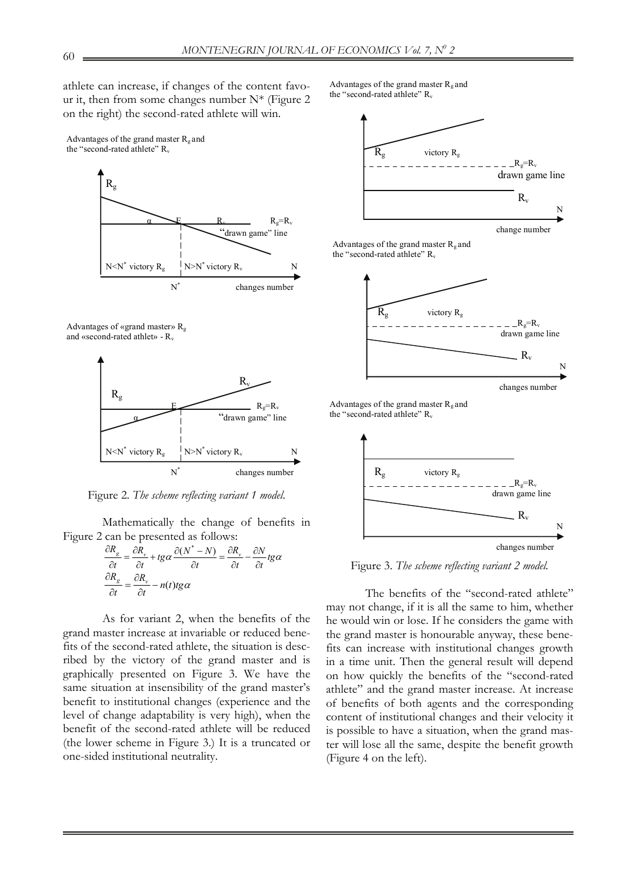athlete can increase, if changes of the content favour it, then from some changes number  $N^*$  (Figure 2) on the right) the second-rated athlete will win.





Advantages of «grand master» Rg and «second-rated athlet» - Rv



Figure 2. *The scheme reflecting variant 1 model*.

Mathematically the change of benefits in Figure 2 can be presented as follows:

$$
\frac{\partial R_g}{\partial t} = \frac{\partial R_v}{\partial t} + t g \alpha \frac{\partial (N^* - N)}{\partial t} = \frac{\partial R_v}{\partial t} - \frac{\partial N}{\partial t} t g \alpha
$$

$$
\frac{\partial R_g}{\partial t} = \frac{\partial R_v}{\partial t} - n(t) t g \alpha
$$

As for variant 2, when the benefits of the grand master increase at invariable or reduced benefits of the second-rated athlete, the situation is described by the victory of the grand master and is graphically presented on Figure 3. We have the same situation at insensibility of the grand master's benefit to institutional changes (experience and the level of change adaptability is very high), when the benefit of the second-rated athlete will be reduced (the lower scheme in Figure 3.) It is a truncated or one-sided institutional neutrality.

Advantages of the grand master  $R_g$  and the "second-rated athlete" R<sub>v</sub>



Advantages of the grand master  $R_{g}$  and the "second-rated athlete" R<sub>v</sub>



Advantages of the grand master  $R_g$  and the "second-rated athlete" R<sub>v</sub>





Figure 3. *The scheme reflecting variant 2 model.*

The benefits of the "second-rated athlete" may not change, if it is all the same to him, whether he would win or lose. If he considers the game with the grand master is honourable anyway, these benefits can increase with institutional changes growth in a time unit. Then the general result will depend on how quickly the benefits of the "second-rated athlete" and the grand master increase. At increase of benefits of both agents and the corresponding content of institutional changes and their velocity it is possible to have a situation, when the grand master will lose all the same, despite the benefit growth (Figure 4 on the left).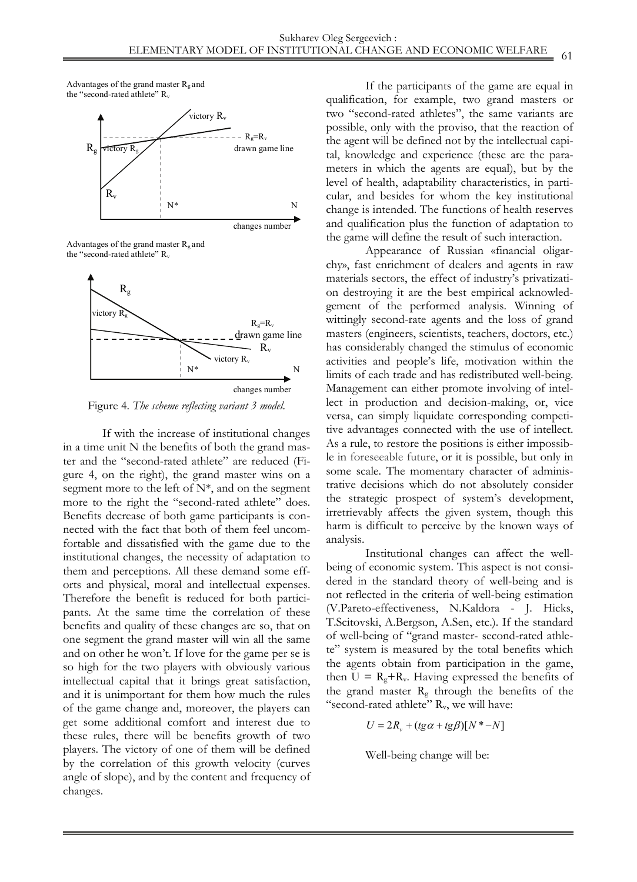Advantages of the grand master  $R_g$  and the "second-rated athlete" R<sub>v</sub>



Advantages of the grand master  $R_g$  and the "second-rated athlete" R<sub>v</sub>



Figure 4. *The scheme reflecting variant 3 model.*

If with the increase of institutional changes in a time unit N the benefits of both the grand master and the "second-rated athlete" are reduced (Figure 4, on the right), the grand master wins on a segment more to the left of  $N^*$ , and on the segment more to the right the "second-rated athlete" does. Benefits decrease of both game participants is connected with the fact that both of them feel uncomfortable and dissatisfied with the game due to the institutional changes, the necessity of adaptation to them and perceptions. All these demand some efforts and physical, moral and intellectual expenses. Therefore the benefit is reduced for both participants. At the same time the correlation of these benefits and quality of these changes are so, that on one segment the grand master will win all the same and on other he won't. If love for the game per se is so high for the two players with obviously various intellectual capital that it brings great satisfaction, and it is unimportant for them how much the rules of the game change and, moreover, the players can get some additional comfort and interest due to these rules, there will be benefits growth of two players. The victory of one of them will be defined by the correlation of this growth velocity (curves angle of slope), and by the content and frequency of changes.

If the participants of the game are equal in qualification, for example, two grand masters or two "second-rated athletes", the same variants are possible, only with the proviso, that the reaction of the agent will be defined not by the intellectual capital, knowledge and experience (these are the parameters in which the agents are equal), but by the level of health, adaptability characteristics, in particular, and besides for whom the key institutional change is intended. The functions of health reserves and qualification plus the function of adaptation to the game will define the result of such interaction.

Appearance of Russian «financial oligarchy», fast enrichment of dealers and agents in raw materials sectors, the effect of industry's privatization destroying it are the best empirical acknowledgement of the performed analysis. Winning of wittingly second-rate agents and the loss of grand masters (engineers, scientists, teachers, doctors, etc.) has considerably changed the stimulus of economic activities and people's life, motivation within the limits of each trade and has redistributed well-being. Management can either promote involving of intellect in production and decision-making, or, vice versa, can simply liquidate corresponding competitive advantages connected with the use of intellect. As a rule, to restore the positions is either impossible in foreseeable future, or it is possible, but only in some scale. The momentary character of administrative decisions which do not absolutely consider the strategic prospect of system's development, irretrievably affects the given system, though this harm is difficult to perceive by the known ways of analysis.

Institutional changes can affect the wellbeing of economic system. This aspect is not considered in the standard theory of well-being and is not reflected in the criteria of well-being estimation (V.Pareto-effectiveness, N.Kaldora - J. Hicks, T.Scitovski, A.Bergson, A.Sen, etc.). If the standard of well-being of "grand master- second-rated athlete" system is measured by the total benefits which the agents obtain from participation in the game, then  $U = R_g + R_v$ . Having expressed the benefits of the grand master  $R<sub>g</sub>$  through the benefits of the "second-rated athlete" R<sub>v</sub>, we will have:

$$
U = 2R_v + (tg\alpha + tg\beta)[N^* - N]
$$

Well-being change will be: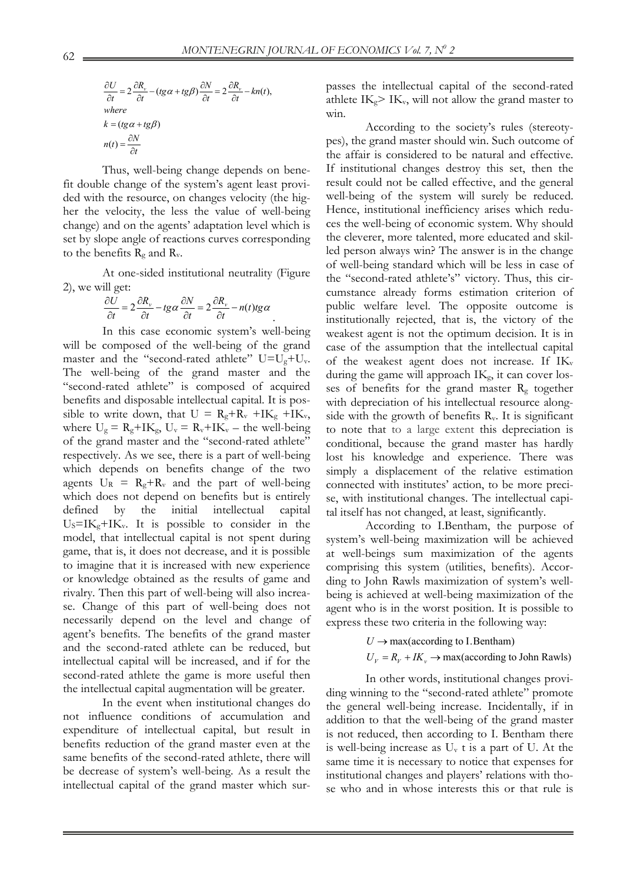$$
\frac{\partial U}{\partial t} = 2 \frac{\partial R_v}{\partial t} - (tg\alpha + tg\beta) \frac{\partial N}{\partial t} = 2 \frac{\partial R_v}{\partial t} - kn(t),
$$
  
where  

$$
k = (tg\alpha + tg\beta)
$$
  

$$
n(t) = \frac{\partial N}{\partial t}
$$

Thus, well-being change depends on benefit double change of the system's agent least provided with the resource, on changes velocity (the higher the velocity, the less the value of well-being change) and on the agents' adaptation level which is set by slope angle of reactions curves corresponding to the benefits  $R_g$  and  $R_v$ .

At one-sided institutional neutrality (Figure 2), we will get:

$$
\frac{\partial U}{\partial t} = 2 \frac{\partial R_v}{\partial t} - t g \alpha \frac{\partial N}{\partial t} = 2 \frac{\partial R_v}{\partial t} - n(t) t g \alpha
$$

.

In this case economic system's well-being will be composed of the well-being of the grand master and the "second-rated athlete"  $U=U_g+U_v$ . The well-being of the grand master and the "second-rated athlete" is composed of acquired benefits and disposable intellectual capital. It is possible to write down, that  $U = R_g + R_v + I K_g + I K_v$ , where  $U_g = R_g + I K_g$ ,  $U_v = R_v + I K_v$  – the well-being of the grand master and the "second-rated athlete" respectively. As we see, there is a part of well-being which depends on benefits change of the two agents  $U_R = R_g + R_v$  and the part of well-being which does not depend on benefits but is entirely defined by the initial intellectual capital  $U_S=IK_g+IK_v$ . It is possible to consider in the model, that intellectual capital is not spent during game, that is, it does not decrease, and it is possible to imagine that it is increased with new experience or knowledge obtained as the results of game and rivalry. Then this part of well-being will also increase. Change of this part of well-being does not necessarily depend on the level and change of agent's benefits. The benefits of the grand master and the second-rated athlete can be reduced, but intellectual capital will be increased, and if for the second-rated athlete the game is more useful then the intellectual capital augmentation will be greater.

In the event when institutional changes do not influence conditions of accumulation and expenditure of intellectual capital, but result in benefits reduction of the grand master even at the same benefits of the second-rated athlete, there will be decrease of system's well-being. As a result the intellectual capital of the grand master which surpasses the intellectual capital of the second-rated athlete  $IK_g$ >  $IK_v$ , will not allow the grand master to win.

According to the society's rules (stereotypes), the grand master should win. Such outcome of the affair is considered to be natural and effective. If institutional changes destroy this set, then the result could not be called effective, and the general well-being of the system will surely be reduced. Hence, institutional inefficiency arises which reduces the well-being of economic system. Why should the cleverer, more talented, more educated and skilled person always win? The answer is in the change of well-being standard which will be less in case of the "second-rated athlete's" victory. Thus, this circumstance already forms estimation criterion of public welfare level. The opposite outcome is institutionally rejected, that is, the victory of the weakest agent is not the optimum decision. It is in case of the assumption that the intellectual capital of the weakest agent does not increase. If  $IK_v$ during the game will approach  $IK_{g}$ , it can cover losses of benefits for the grand master  $R_g$  together with depreciation of his intellectual resource alongside with the growth of benefits  $R_v$ . It is significant to note that to a large extent this depreciation is conditional, because the grand master has hardly lost his knowledge and experience. There was simply a displacement of the relative estimation connected with institutes' action, to be more precise, with institutional changes. The intellectual capital itself has not changed, at least, significantly.

According to I.Bentham, the purpose of system's well-being maximization will be achieved at well-beings sum maximization of the agents comprising this system (utilities, benefits). According to John Rawls maximization of system's wellbeing is achieved at well-being maximization of the agent who is in the worst position. It is possible to express these two criteria in the following way:

> $U_V = R_V + IK_v \rightarrow \text{max}(\text{according to John Rawls})$  $U \rightarrow \text{max}(\text{according to I. Bentham})$

In other words, institutional changes providing winning to the "second-rated athlete" promote the general well-being increase. Incidentally, if in addition to that the well-being of the grand master is not reduced, then according to I. Bentham there is well-being increase as  $U_v$  t is a part of U. At the same time it is necessary to notice that expenses for institutional changes and players' relations with those who and in whose interests this or that rule is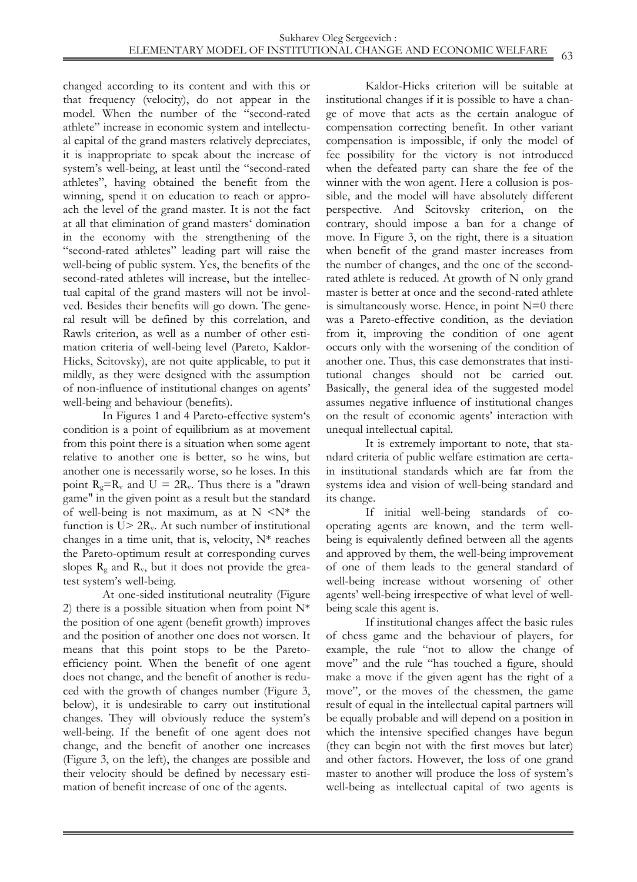changed according to its content and with this or that frequency (velocity), do not appear in the model. When the number of the "second-rated athlete" increase in economic system and intellectual capital of the grand masters relatively depreciates, it is inappropriate to speak about the increase of system's well-being, at least until the "second-rated athletes", having obtained the benefit from the winning, spend it on education to reach or approach the level of the grand master. It is not the fact at all that elimination of grand masters' domination in the economy with the strengthening of the "second-rated athletes" leading part will raise the well-being of public system. Yes, the benefits of the second-rated athletes will increase, but the intellectual capital of the grand masters will not be involved. Besides their benefits will go down. The general result will be defined by this correlation, and Rawls criterion, as well as a number of other estimation criteria of well-being level (Pareto, Kaldor-Hicks, Scitovsky), are not quite applicable, to put it mildly, as they were designed with the assumption of non-influence of institutional changes on agents' well-being and behaviour (benefits).

In Figures 1 and 4 Pareto-effective system's condition is a point of equilibrium as at movement from this point there is a situation when some agent relative to another one is better, so he wins, but another one is necessarily worse, so he loses. In this point  $R_g = R_v$  and  $U = 2R_v$ . Thus there is a "drawn" game" in the given point as a result but the standard of well-being is not maximum, as at  $N \le N^*$  the function is  $U > 2R_v$ . At such number of institutional changes in a time unit, that is, velocity,  $N^*$  reaches the Pareto-optimum result at corresponding curves slopes  $R_g$  and  $R_v$ , but it does not provide the greatest system's well-being.

At one-sided institutional neutrality (Figure 2) there is a possible situation when from point  $N^*$ the position of one agent (benefit growth) improves and the position of another one does not worsen. It means that this point stops to be the Paretoefficiency point. When the benefit of one agent does not change, and the benefit of another is reduced with the growth of changes number (Figure 3, below), it is undesirable to carry out institutional changes. They will obviously reduce the system's well-being. If the benefit of one agent does not change, and the benefit of another one increases (Figure 3, on the left), the changes are possible and their velocity should be defined by necessary estimation of benefit increase of one of the agents.

Kaldor-Hicks criterion will be suitable at institutional changes if it is possible to have a change of move that acts as the certain analogue of compensation correcting benefit. In other variant compensation is impossible, if only the model of fee possibility for the victory is not introduced when the defeated party can share the fee of the winner with the won agent. Here a collusion is possible, and the model will have absolutely different perspective. And Scitovsky criterion, on the contrary, should impose a ban for a change of move. In Figure 3, on the right, there is a situation when benefit of the grand master increases from the number of changes, and the one of the secondrated athlete is reduced. At growth of N only grand master is better at once and the second-rated athlete is simultaneously worse. Hence, in point N=0 there was a Pareto-effective condition, as the deviation from it, improving the condition of one agent occurs only with the worsening of the condition of another one. Thus, this case demonstrates that institutional changes should not be carried out. Basically, the general idea of the suggested model assumes negative influence of institutional changes on the result of economic agents' interaction with unequal intellectual capital.

It is extremely important to note, that standard criteria of public welfare estimation are certain institutional standards which are far from the systems idea and vision of well-being standard and its change.

If initial well-being standards of cooperating agents are known, and the term wellbeing is equivalently defined between all the agents and approved by them, the well-being improvement of one of them leads to the general standard of well-being increase without worsening of other agents' well-being irrespective of what level of wellbeing scale this agent is.

If institutional changes affect the basic rules of chess game and the behaviour of players, for example, the rule "not to allow the change of move" and the rule "has touched a figure, should make a move if the given agent has the right of a move", or the moves of the chessmen, the game result of equal in the intellectual capital partners will be equally probable and will depend on a position in which the intensive specified changes have begun (they can begin not with the first moves but later) and other factors. However, the loss of one grand master to another will produce the loss of system's well-being as intellectual capital of two agents is